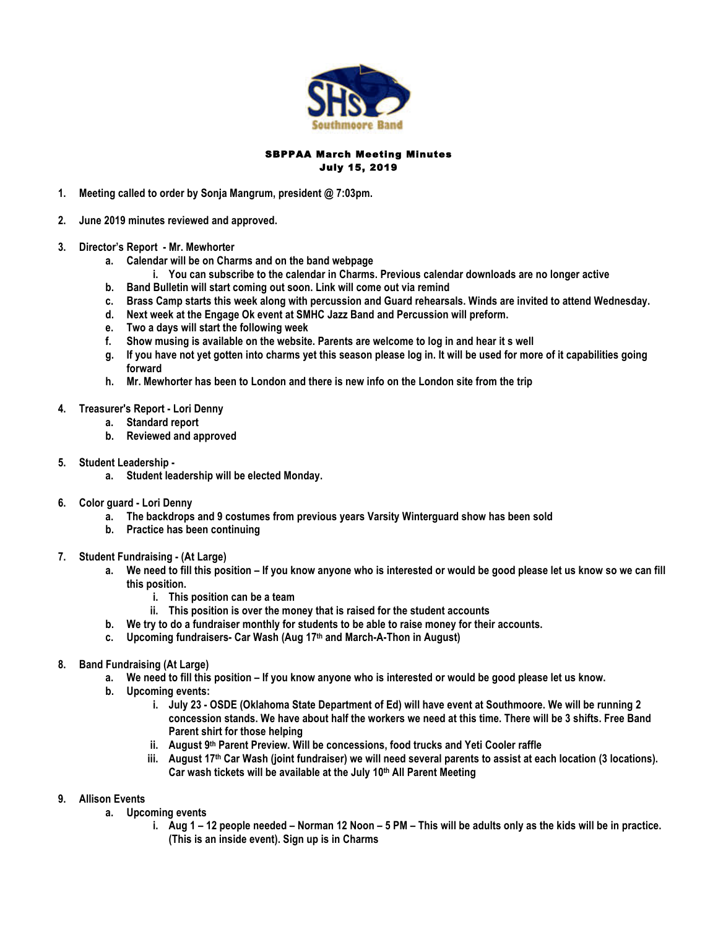

# SBPPAA March Meeting Minutes July 15, 2019

- **1. Meeting called to order by Sonja Mangrum, president @ 7:03pm.**
- **2. June 2019 minutes reviewed and approved.**
- **3. Director's Report - Mr. Mewhorter**
	- **a. Calendar will be on Charms and on the band webpage**
		- **i. You can subscribe to the calendar in Charms. Previous calendar downloads are no longer active**
	- **b. Band Bulletin will start coming out soon. Link will come out via remind**
	- **c. Brass Camp starts this week along with percussion and Guard rehearsals. Winds are invited to attend Wednesday.**
	- **d. Next week at the Engage Ok event at SMHC Jazz Band and Percussion will preform.**
	- **e. Two a days will start the following week**
	- **f. Show musing is available on the website. Parents are welcome to log in and hear it s well**
	- **g. If you have not yet gotten into charms yet this season please log in. It will be used for more of it capabilities going forward**
	- **h. Mr. Mewhorter has been to London and there is new info on the London site from the trip**
- **4. Treasurer's Report - Lori Denny**
	- **a. Standard report**
		- **b. Reviewed and approved**
- **5. Student Leadership** 
	- **a. Student leadership will be elected Monday.**
- **6. Color guard - Lori Denny**
	- **a. The backdrops and 9 costumes from previous years Varsity Winterguard show has been sold**
	- **b. Practice has been continuing**
- **7. Student Fundraising - (At Large)**
	- **a. We need to fill this position – If you know anyone who is interested or would be good please let us know so we can fill this position.**
		- **i. This position can be a team**
		- **ii. This position is over the money that is raised for the student accounts**
	- **b. We try to do a fundraiser monthly for students to be able to raise money for their accounts.**
	- **c. Upcoming fundraisers- Car Wash (Aug 17th and March-A-Thon in August)**
- **8. Band Fundraising (At Large)**
	- **a. We need to fill this position – If you know anyone who is interested or would be good please let us know.**
	- **b. Upcoming events:** 
		- **i. July 23 - OSDE (Oklahoma State Department of Ed) will have event at Southmoore. We will be running 2 concession stands. We have about half the workers we need at this time. There will be 3 shifts. Free Band Parent shirt for those helping**
		- **ii. August 9th Parent Preview. Will be concessions, food trucks and Yeti Cooler raffle**
		- **iii. August 17th Car Wash (joint fundraiser) we will need several parents to assist at each location (3 locations). Car wash tickets will be available at the July 10th All Parent Meeting**
- **9. Allison Events**
	- **a. Upcoming events**
		- **i. Aug 1 – 12 people needed – Norman 12 Noon – 5 PM – This will be adults only as the kids will be in practice. (This is an inside event). Sign up is in Charms**